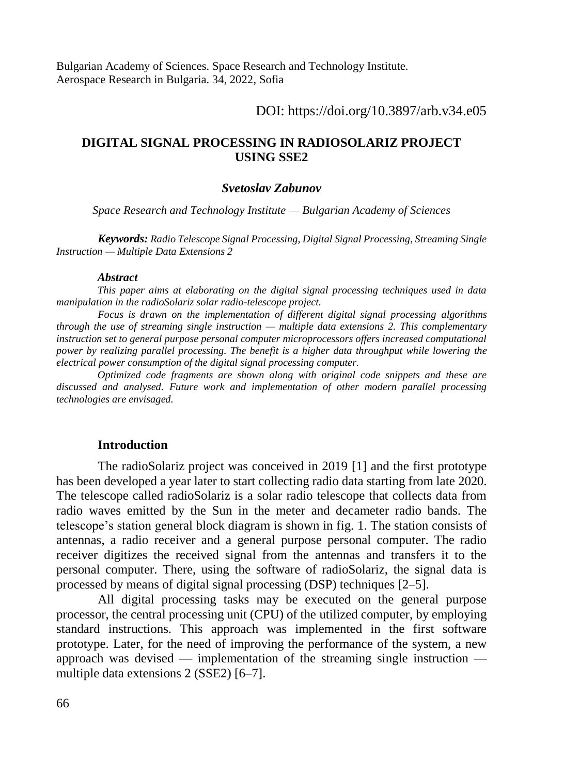Bulgarian Academy of Sciences. Space Research and Technology Institute. Aerospace Research in Bulgaria. 34, 2022, Sofia

DOI: https://doi.org/10.3897/arb.v34.e05

# **DIGITAL SIGNAL PROCESSING IN RADIOSOLARIZ PROJECT USING SSE2**

#### *Svetoslav Zabunov*

*Space Research and Technology Institute — Bulgarian Academy of Sciences*

*Keywords: Radio Telescope Signal Processing, Digital Signal Processing, Streaming Single Instruction — Multiple Data Extensions 2*

#### *Abstract*

*This paper aims at elaborating on the digital signal processing techniques used in data manipulation in the radioSolariz solar radio-telescope project.*

*Focus is drawn on the implementation of different digital signal processing algorithms through the use of streaming single instruction — multiple data extensions 2. This complementary instruction set to general purpose personal computer microprocessors offers increased computational power by realizing parallel processing. The benefit is a higher data throughput while lowering the electrical power consumption of the digital signal processing computer.*

*Optimized code fragments are shown along with original code snippets and these are discussed and analysed. Future work and implementation of other modern parallel processing technologies are envisaged.*

## **Introduction**

The radioSolariz project was conceived in 2019 [1] and the first prototype has been developed a year later to start collecting radio data starting from late 2020. The telescope called radioSolariz is a solar radio telescope that collects data from radio waves emitted by the Sun in the meter and decameter radio bands. The telescope's station general block diagram is shown in fig. 1. The station consists of antennas, a radio receiver and a general purpose personal computer. The radio receiver digitizes the received signal from the antennas and transfers it to the personal computer. There, using the software of radioSolariz, the signal data is processed by means of digital signal processing (DSP) techniques [2–5].

All digital processing tasks may be executed on the general purpose processor, the central processing unit (CPU) of the utilized computer, by employing standard instructions. This approach was implemented in the first software prototype. Later, for the need of improving the performance of the system, a new approach was devised — implementation of the streaming single instruction multiple data extensions 2 (SSE2) [6–7].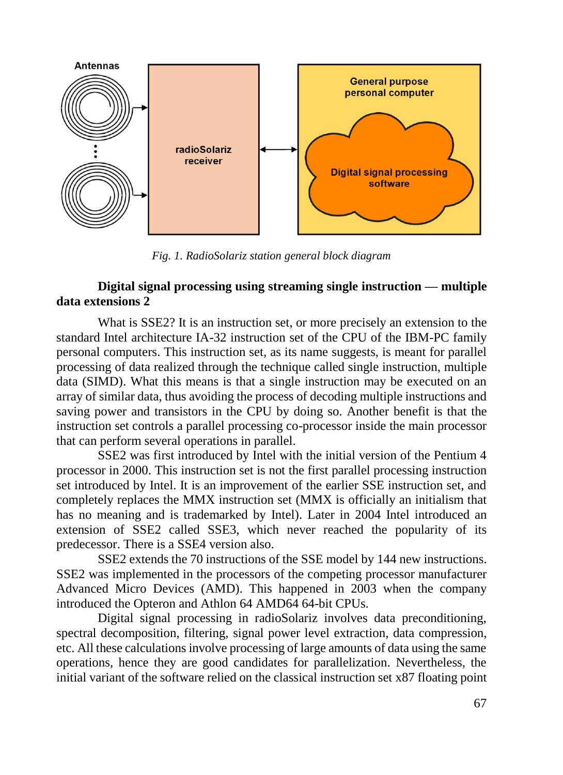

*Fig. 1. RadioSolariz station general block diagram*

# **Digital signal processing using streaming single instruction — multiple data extensions 2**

What is SSE2? It is an instruction set, or more precisely an extension to the standard Intel architecture IA-32 instruction set of the CPU of the IBM-PC family personal computers. This instruction set, as its name suggests, is meant for parallel processing of data realized through the technique called single instruction, multiple data (SIMD). What this means is that a single instruction may be executed on an array of similar data, thus avoiding the process of decoding multiple instructions and saving power and transistors in the CPU by doing so. Another benefit is that the instruction set controls a parallel processing co-processor inside the main processor that can perform several operations in parallel.

SSE2 was first introduced by Intel with the initial version of the Pentium 4 processor in 2000. This instruction set is not the first parallel processing instruction set introduced by Intel. It is an improvement of the earlier SSE instruction set, and completely replaces the MMX instruction set (MMX is officially an initialism that has no meaning and is trademarked by Intel). Later in 2004 Intel introduced an extension of SSE2 called SSE3, which never reached the popularity of its predecessor. There is a SSE4 version also.

SSE2 extends the 70 instructions of the SSE model by 144 new instructions. SSE2 was implemented in the processors of the competing processor manufacturer Advanced Micro Devices (AMD). This happened in 2003 when the company introduced the Opteron and Athlon 64 AMD64 64-bit CPUs.

Digital signal processing in radioSolariz involves data preconditioning, spectral decomposition, filtering, signal power level extraction, data compression, etc. All these calculations involve processing of large amounts of data using the same operations, hence they are good candidates for parallelization. Nevertheless, the initial variant of the software relied on the classical instruction set x87 floating point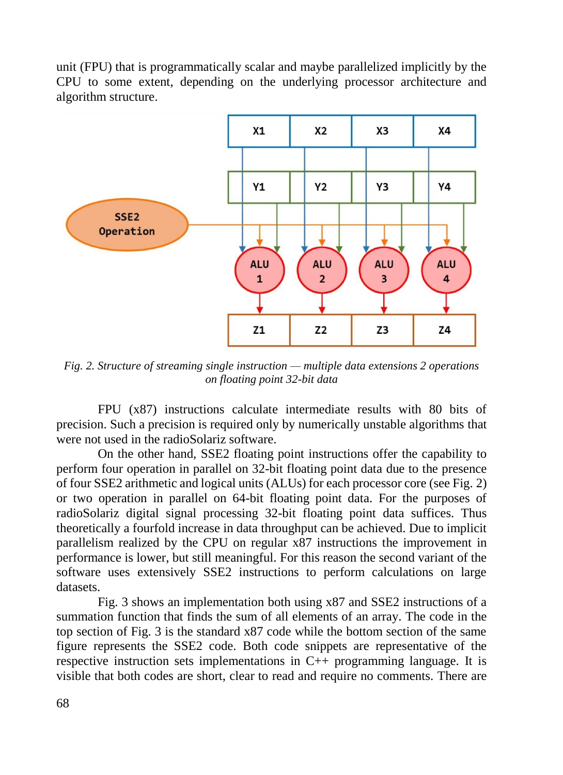unit (FPU) that is programmatically scalar and maybe parallelized implicitly by the CPU to some extent, depending on the underlying processor architecture and algorithm structure.



*Fig. 2. Structure of streaming single instruction — multiple data extensions 2 operations on floating point 32-bit data*

FPU (x87) instructions calculate intermediate results with 80 bits of precision. Such a precision is required only by numerically unstable algorithms that were not used in the radioSolariz software.

On the other hand, SSE2 floating point instructions offer the capability to perform four operation in parallel on 32-bit floating point data due to the presence of four SSE2 arithmetic and logical units (ALUs) for each processor core (see Fig. 2) or two operation in parallel on 64-bit floating point data. For the purposes of radioSolariz digital signal processing 32-bit floating point data suffices. Thus theoretically a fourfold increase in data throughput can be achieved. Due to implicit parallelism realized by the CPU on regular x87 instructions the improvement in performance is lower, but still meaningful. For this reason the second variant of the software uses extensively SSE2 instructions to perform calculations on large datasets.

Fig. 3 shows an implementation both using x87 and SSE2 instructions of a summation function that finds the sum of all elements of an array. The code in the top section of Fig. 3 is the standard x87 code while the bottom section of the same figure represents the SSE2 code. Both code snippets are representative of the respective instruction sets implementations in C++ programming language. It is visible that both codes are short, clear to read and require no comments. There are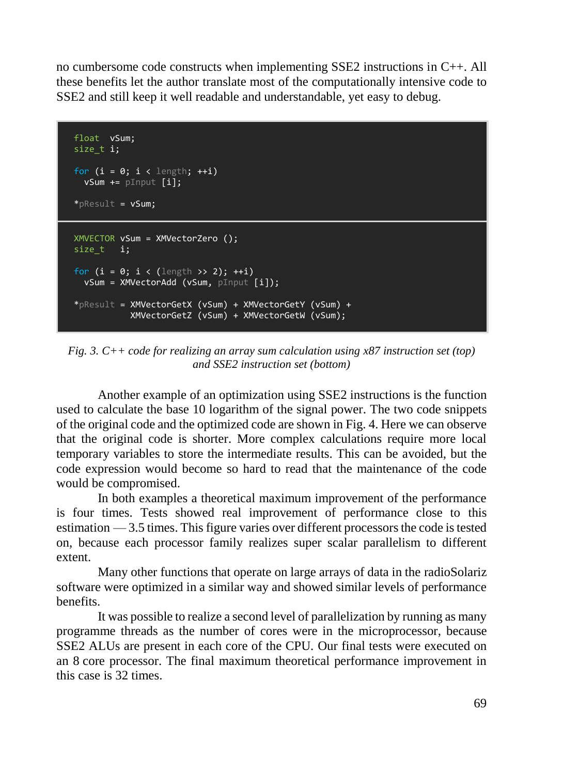no cumbersome code constructs when implementing SSE2 instructions in C++. All these benefits let the author translate most of the computationally intensive code to SSE2 and still keep it well readable and understandable, yet easy to debug.

```
 float vSum;
size t i;
for (i = 0; i < length; ++i)vSum += pInput [i];
 *pResult = vSum;
 XMVECTOR vSum = XMVectorZero ();
size t i;
for (i = 0; i < (length > 2); ++i) vSum = XMVectorAdd (vSum, pInput [i]);
 *pResult = XMVectorGetX (vSum) + XMVectorGetY (vSum) +
            XMVectorGetZ (vSum) + XMVectorGetW (vSum);
```
*Fig. 3. C++ code for realizing an array sum calculation using x87 instruction set (top) and SSE2 instruction set (bottom)*

Another example of an optimization using SSE2 instructions is the function used to calculate the base 10 logarithm of the signal power. The two code snippets of the original code and the optimized code are shown in Fig. 4. Here we can observe that the original code is shorter. More complex calculations require more local temporary variables to store the intermediate results. This can be avoided, but the code expression would become so hard to read that the maintenance of the code would be compromised.

In both examples a theoretical maximum improvement of the performance is four times. Tests showed real improvement of performance close to this estimation — 3.5 times. This figure varies over different processors the code is tested on, because each processor family realizes super scalar parallelism to different extent.

Many other functions that operate on large arrays of data in the radioSolariz software were optimized in a similar way and showed similar levels of performance benefits.

It was possible to realize a second level of parallelization by running as many programme threads as the number of cores were in the microprocessor, because SSE2 ALUs are present in each core of the CPU. Our final tests were executed on an 8 core processor. The final maximum theoretical performance improvement in this case is 32 times.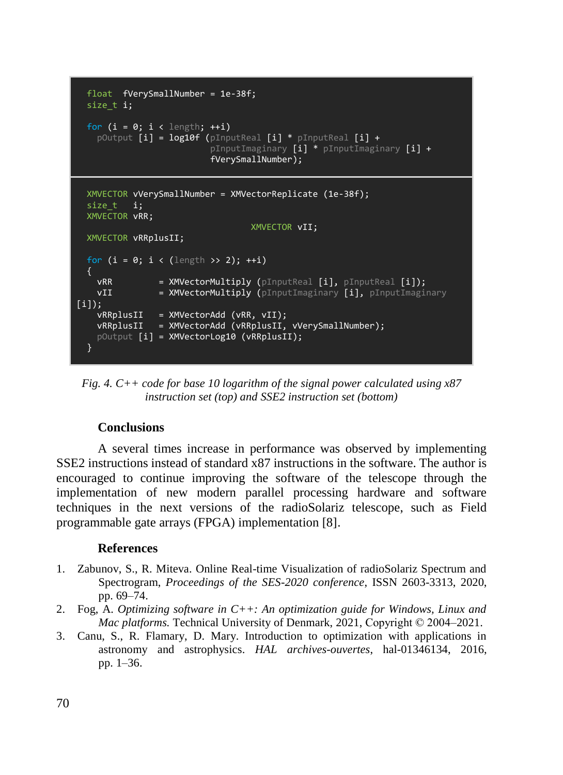```
 float fVerySmallNumber = 1e-38f;
 size t i;
 for (i = 0; i < length; +i)
 pOutput [i] = log10f (pInputReal [i] * pInputReal [i] +
 pInputImaginary [i] * pInputImaginary [i] +
                         fVerySmallNumber);
  XMVECTOR vVerySmallNumber = XMVectorReplicate (1e-38f);
 size t i;
  XMVECTOR vRR;
                               XMVECTOR vII;
  XMVECTOR vRRplusII;
 for (i = 0; i < (length >> 2); ++i) {
   vRR = XMVectorMultiply (pInputReal [i], pInputReal [i]);
   vII = XMVectorMultiply (pInputImaginary [i], pInputImaginary
\overline{[i]}; vRRplusII = XMVectorAdd (vRR, vII);
   vRRp1usII = XMVectorAdd (vRRp1usII, vVervSmallNumber); pOutput [i] = XMVectorLog10 (vRRplusII);
 }
```
*Fig. 4. C++ code for base 10 logarithm of the signal power calculated using x87 instruction set (top) and SSE2 instruction set (bottom)*

# **Conclusions**

A several times increase in performance was observed by implementing SSE2 instructions instead of standard x87 instructions in the software. The author is encouraged to continue improving the software of the telescope through the implementation of new modern parallel processing hardware and software techniques in the next versions of the radioSolariz telescope, such as Field programmable gate arrays (FPGA) implementation [8].

## **References**

- 1. Zabunov, S., R. Miteva. Online Real-time Visualization of radioSolariz Spectrum and Spectrogram, *Proceedings of the SES-2020 conference*, ISSN 2603-3313, 2020, pp. 69–74.
- 2. Fog, A. *Optimizing software in C++: An optimization guide for Windows, Linux and Mac platforms.* Technical University of Denmark, 2021, Copyright © 2004–2021.
- 3. Canu, S., R. Flamary, D. Mary. Introduction to optimization with applications in astronomy and astrophysics. *HAL archives-ouvertes*, hal-01346134, 2016, pp. 1–36.